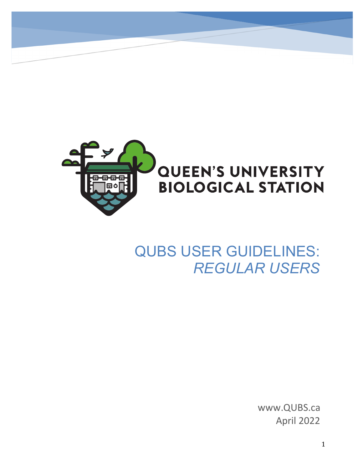

# QUBS USER GUIDELINES: *REGULAR USERS*

www.QUBS.ca April 2022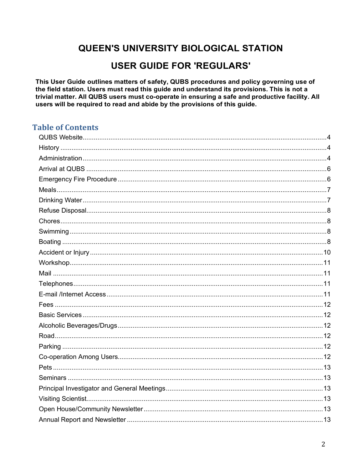# **QUEEN'S UNIVERSITY BIOLOGICAL STATION**

# **USER GUIDE FOR 'REGULARS'**

This User Guide outlines matters of safety, QUBS procedures and policy governing use of the field station. Users must read this guide and understand its provisions. This is not a trivial matter. All QUBS users must co-operate in ensuring a safe and productive facility. All users will be required to read and abide by the provisions of this guide.

# **Table of Contents**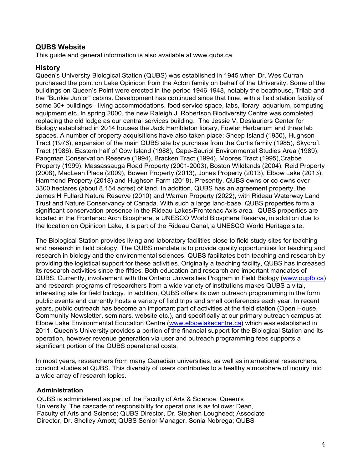#### **QUBS Website**

This guide and general information is also available at www.qubs.ca

#### **History**

Queen's University Biological Station (QUBS) was established in 1945 when Dr. Wes Curran purchased the point on Lake Opinicon from the Acton family on behalf of the University. Some of the buildings on Queen's Point were erected in the period 1946-1948, notably the boathouse, Trilab and the "Bunkie Junior" cabins. Development has continued since that time, with a field station facility of some 30+ buildings - living accommodations, food service space, labs, library, aquarium, computing equipment etc. In spring 2000, the new Raleigh J. Robertson Biodiversity Centre was completed, replacing the old lodge as our central services building. The Jessie V. Deslauriers Center for Biology established in 2014 houses the Jack Hambleton library, Fowler Herbarium and three lab spaces. A number of property acquisitions have also taken place: Sheep Island (1950), Hughson Tract (1976), expansion of the main QUBS site by purchase from the Curtis family (1985), Skycroft Tract (1986), Eastern half of Cow Island (1988), Cape-Sauriol Environmental Studies Area (1989), Pangman Conservation Reserve (1994), Bracken Tract (1994), Moores Tract (1995),Crabbe Property (1999), Massassauga Road Property (2001-2003), Boston Wildlands (2004), Reid Property (2008), MacLean Place (2009), Bowen Property (2013), Jones Property (2013), Elbow Lake (2013), Hammond Property (2018) and Hughson Farm (2018). Presently, QUBS owns or co-owns over 3300 hectares (about 8,154 acres) of land. In addition, QUBS has an agreement property, the James H Fullard Nature Reserve (2010) and Warren Property (2022), with Rideau Waterway Land Trust and Nature Conservancy of Canada. With such a large land-base, QUBS properties form a significant conservation presence in the Rideau Lakes/Frontenac Axis area. QUBS properties are located in the Frontenac Arch Biosphere, a UNESCO World Biosphere Reserve, in addition due to the location on Opinicon Lake, it is part of the Rideau Canal, a UNESCO World Heritage site.

The Biological Station provides living and laboratory facilities close to field study sites for teaching and research in field biology. The QUBS mandate is to provide quality opportunities for teaching and research in biology and the environmental sciences. QUBS facilitates both teaching and research by providing the logistical support for these activities. Originally a teaching facility, QUBS has increased its research activities since the fifties. Both education and research are important mandates of QUBS. Currently, involvement with the Ontario Universities Program in Field Biology (www.oupfb.ca) and research programs of researchers from a wide variety of institutions makes QUBS a vital, interesting site for field biology. In addition, QUBS offers its own outreach programming in the form public events and currently hosts a variety of field trips and small conferences each year. In recent years, public outreach has become an important part of activities at the field station (Open House, Community Newsletter, seminars, website etc.), and specifically at our primary outreach campus at Elbow Lake Environmental Education Centre (www.elbowlakecentre.ca) which was established in 2011. Queen's University provides a portion of the financial support for the Biological Station and its operation, however revenue generation via user and outreach programming fees supports a significant portion of the QUBS operational costs.

In most years, researchers from many Canadian universities, as well as international researchers, conduct studies at QUBS. This diversity of users contributes to a healthy atmosphere of inquiry into a wide array of research topics.

#### **Administration**

QUBS is administered as part of the Faculty of Arts & Science, Queen's University. The cascade of responsibility for operations is as follows: Dean, Faculty of Arts and Science; QUBS Director, Dr. Stephen Lougheed; Associate Director, Dr. Shelley Arnott; QUBS Senior Manager, Sonia Nobrega; QUBS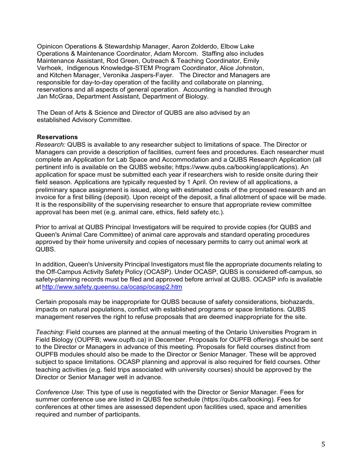Opinicon Operations & Stewardship Manager, Aaron Zolderdo, Elbow Lake Operations & Maintenance Coordinator, Adam Morcom. Staffing also includes Maintenance Assistant, Rod Green, Outreach & Teaching Coordinator, Emily Verhoek, Indigenous Knowledge-STEM Program Coordinator, Alice Johnston, and Kitchen Manager, Veronika Jaspers-Fayer. The Director and Managers are responsible for day-to-day operation of the facility and collaborate on planning, reservations and all aspects of general operation. Accounting is handled through Jan McGraa, Department Assistant, Department of Biology.

The Dean of Arts & Science and Director of QUBS are also advised by an established Advisory Committee.

#### **Reservations**

*Research:* QUBS is available to any researcher subject to limitations of space. The Director or Managers can provide a description of facilities, current fees and procedures. Each researcher must complete an Application for Lab Space and Accommodation and a QUBS Research Application (all pertinent info is available on the QUBS website; https://www.qubs.ca/booking/applications). An application for space must be submitted each year if researchers wish to reside onsite during their field season. Applications are typically requested by 1 April. On review of all applications, a preliminary space assignment is issued, along with estimated costs of the proposed research and an invoice for a first billing (deposit). Upon receipt of the deposit, a final allotment of space will be made. It is the responsibility of the supervising researcher to ensure that appropriate review committee approval has been met (e.g. animal care, ethics, field safety etc.).

Prior to arrival at QUBS Principal Investigators will be required to provide copies (for QUBS and Queen's Animal Care Committee) of animal care approvals and standard operating procedures approved by their home university and copies of necessary permits to carry out animal work at QUBS.

In addition, Queen's University Principal Investigators must file the appropriate documents relating to the Off-Campus Activity Safety Policy (OCASP). Under OCASP, QUBS is considered off-campus, so safety-planning records must be filed and approved before arrival at QUBS. OCASP info is available at http://www.safety.queensu.ca/ocasp/ocasp2.htm

Certain proposals may be inappropriate for QUBS because of safety considerations, biohazards, impacts on natural populations, conflict with established programs or space limitations. QUBS management reserves the right to refuse proposals that are deemed inappropriate for the site.

*Teaching*: Field courses are planned at the annual meeting of the Ontario Universities Program in Field Biology (OUPFB; www.oupfb.ca) in December. Proposals for OUPFB offerings should be sent to the Director or Managers in advance of this meeting. Proposals for field courses distinct from OUPFB modules should also be made to the Director or Senior Manager. These will be approved subject to space limitations. OCASP planning and approval is also required for field courses. Other teaching activities (e.g. field trips associated with university courses) should be approved by the Director or Senior Manager well in advance.

*Conference Use*: This type of use is negotiated with the Director or Senior Manager. Fees for summer conference use are listed in QUBS fee schedule (https://qubs.ca/booking). Fees for conferences at other times are assessed dependent upon facilities used, space and amenities required and number of participants.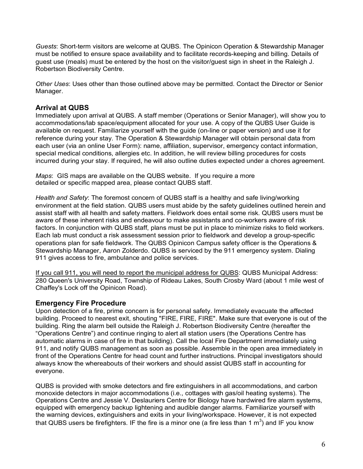*Guests*: Short-term visitors are welcome at QUBS. The Opinicon Operation & Stewardship Manager must be notified to ensure space availability and to facilitate records-keeping and billing. Details of guest use (meals) must be entered by the host on the visitor/guest sign in sheet in the Raleigh J. Robertson Biodiversity Centre.

*Other Uses*: Uses other than those outlined above may be permitted. Contact the Director or Senior Manager.

#### **Arrival at QUBS**

Immediately upon arrival at QUBS. A staff member (Operations or Senior Manager), will show you to accommodations/lab space/equipment allocated for your use. A copy of the QUBS User Guide is available on request. Familiarize yourself with the guide (on-line or paper version) and use it for reference during your stay. The Operation & Stewardship Manager will obtain personal data from each user (via an online User Form): name, affiliation, supervisor, emergency contact information, special medical conditions, allergies etc. In addition, he will review billing procedures for costs incurred during your stay. If required, he will also outline duties expected under a chores agreement.

*Maps*: GIS maps are available on the QUBS website. If you require a more detailed or specific mapped area, please contact QUBS staff.

*Health and Safety*: The foremost concern of QUBS staff is a healthy and safe living/working environment at the field station. QUBS users must abide by the safety guidelines outlined herein and assist staff with all health and safety matters. Fieldwork does entail some risk. QUBS users must be aware of these inherent risks and endeavour to make assistants and co-workers aware of risk factors. In conjunction with QUBS staff, plans must be put in place to minimize risks to field workers. Each lab must conduct a risk assessment session prior to fieldwork and develop a group-specific operations plan for safe fieldwork. The QUBS Opinicon Campus safety officer is the Operations & Stewardship Manager, Aaron Zolderdo. QUBS is serviced by the 911 emergency system. Dialing 911 gives access to fire, ambulance and police services.

If you call 911, you will need to report the municipal address for QUBS: QUBS Municipal Address: 280 Queen's University Road, Township of Rideau Lakes, South Crosby Ward (about 1 mile west of Chaffey's Lock off the Opinicon Road).

#### **Emergency Fire Procedure**

Upon detection of a fire, prime concern is for personal safety. Immediately evacuate the affected building. Proceed to nearest exit, shouting "FIRE, FIRE, FIRE". Make sure that everyone is out of the building. Ring the alarm bell outside the Raleigh J. Robertson Biodiversity Centre (hereafter the "Operations Centre") and continue ringing to alert all station users (the Operations Centre has automatic alarms in case of fire in that building). Call the local Fire Department immediately using 911, and notify QUBS management as soon as possible. Assemble in the open area immediately in front of the Operations Centre for head count and further instructions. Principal investigators should always know the whereabouts of their workers and should assist QUBS staff in accounting for everyone.

QUBS is provided with smoke detectors and fire extinguishers in all accommodations, and carbon monoxide detectors in major accommodations (i.e., cottages with gas/oil heating systems). The Operations Centre and Jessie V. Deslauriers Centre for Biology have hardwired fire alarm systems, equipped with emergency backup lightening and audible danger alarms. Familiarize yourself with the warning devices, extinguishers and exits in your living/workspace. However, it is not expected that QUBS users be firefighters. IF the fire is a minor one (a fire less than 1 m<sup>3</sup>) and IF you know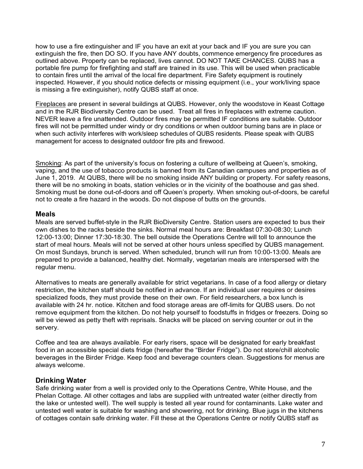how to use a fire extinguisher and IF you have an exit at your back and IF you are sure you can extinguish the fire, then DO SO. If you have ANY doubts, commence emergency fire procedures as outlined above. Property can be replaced, lives cannot. DO NOT TAKE CHANCES. QUBS has a portable fire pump for firefighting and staff are trained in its use. This will be used when practicable to contain fires until the arrival of the local fire department. Fire Safety equipment is routinely inspected. However, if you should notice defects or missing equipment (i.e., your work/living space is missing a fire extinguisher), notify QUBS staff at once.

Fireplaces are present in several buildings at QUBS. However, only the woodstove in Keast Cottage and in the RJR Biodiversity Centre can be used. Treat all fires in fireplaces with extreme caution. NEVER leave a fire unattended. Outdoor fires may be permitted IF conditions are suitable. Outdoor fires will not be permitted under windy or dry conditions or when outdoor burning bans are in place or when such activity interferes with work/sleep schedules of QUBS residents. Please speak with QUBS management for access to designated outdoor fire pits and firewood.

Smoking: As part of the university's focus on fostering a culture of wellbeing at Queen's, smoking, vaping, and the use of tobacco products is banned from its Canadian campuses and properties as of June 1, 2019. At QUBS, there will be no smoking inside ANY building or property. For safety reasons, there will be no smoking in boats, station vehicles or in the vicinity of the boathouse and gas shed. Smoking must be done out-of-doors and off Queen's property. When smoking out-of-doors, be careful not to create a fire hazard in the woods. Do not dispose of butts on the grounds.

#### **Meals**

Meals are served buffet-style in the RJR BioDiversity Centre. Station users are expected to bus their own dishes to the racks beside the sinks. Normal meal hours are: Breakfast 07:30-08:30; Lunch 12:00-13:00; Dinner 17:30-18:30. The bell outside the Operations Centre will toll to announce the start of meal hours. Meals will not be served at other hours unless specified by QUBS management. On most Sundays, brunch is served. When scheduled, brunch will run from 10:00-13:00. Meals are prepared to provide a balanced, healthy diet. Normally, vegetarian meals are interspersed with the regular menu.

Alternatives to meats are generally available for strict vegetarians. In case of a food allergy or dietary restriction, the kitchen staff should be notified in advance. If an individual user requires or desires specialized foods, they must provide these on their own. For field researchers, a box lunch is available with 24 hr. notice. Kitchen and food storage areas are off-limits for QUBS users. Do not remove equipment from the kitchen. Do not help yourself to foodstuffs in fridges or freezers. Doing so will be viewed as petty theft with reprisals. Snacks will be placed on serving counter or out in the servery.

Coffee and tea are always available. For early risers, space will be designated for early breakfast food in an accessible special diets fridge (hereafter the "Birder Fridge"). Do not store/chill alcoholic beverages in the Birder Fridge. Keep food and beverage counters clean. Suggestions for menus are always welcome.

# **Drinking Water**

Safe drinking water from a well is provided only to the Operations Centre, White House, and the Phelan Cottage. All other cottages and labs are supplied with untreated water (either directly from the lake or untested well). The well supply is tested all year round for contaminants. Lake water and untested well water is suitable for washing and showering, not for drinking. Blue jugs in the kitchens of cottages contain safe drinking water. Fill these at the Operations Centre or notify QUBS staff as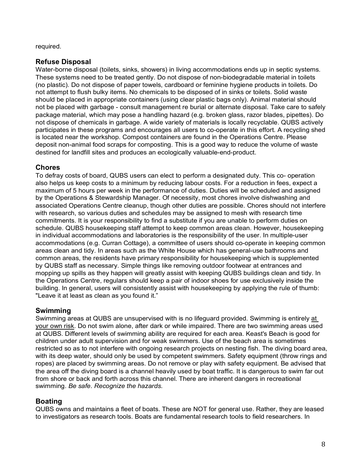required.

#### **Refuse Disposal**

Water-borne disposal (toilets, sinks, showers) in living accommodations ends up in septic systems. These systems need to be treated gently. Do not dispose of non-biodegradable material in toilets (no plastic). Do not dispose of paper towels, cardboard or feminine hygiene products in toilets. Do not attempt to flush bulky items. No chemicals to be disposed of in sinks or toilets. Solid waste should be placed in appropriate containers (using clear plastic bags only). Animal material should not be placed with garbage - consult management re burial or alternate disposal. Take care to safely package material, which may pose a handling hazard (e.g. broken glass, razor blades, pipettes). Do not dispose of chemicals in garbage. A wide variety of materials is locally recyclable. QUBS actively participates in these programs and encourages all users to co-operate in this effort. A recycling shed is located near the workshop. Compost containers are found in the Operations Centre. Please deposit non-animal food scraps for composting. This is a good way to reduce the volume of waste destined for landfill sites and produces an ecologically valuable-end-product.

# **Chores**

To defray costs of board, QUBS users can elect to perform a designated duty. This co- operation also helps us keep costs to a minimum by reducing labour costs. For a reduction in fees, expect a maximum of 5 hours per week in the performance of duties. Duties will be scheduled and assigned by the Operations & Stewardship Manager. Of necessity, most chores involve dishwashing and associated Operations Centre cleanup, though other duties are possible. Chores should not interfere with research, so various duties and schedules may be assigned to mesh with research time commitments. It is your responsibility to find a substitute if you are unable to perform duties on schedule. QUBS housekeeping staff attempt to keep common areas clean. However, housekeeping in individual accommodations and laboratories is the responsibility of the user. In multiple-user accommodations (e.g. Curran Cottage), a committee of users should co-operate in keeping common areas clean and tidy. In areas such as the White House which has general-use bathrooms and common areas, the residents have primary responsibility for housekeeping which is supplemented by QUBS staff as necessary. Simple things like removing outdoor footwear at entrances and mopping up spills as they happen will greatly assist with keeping QUBS buildings clean and tidy. In the Operations Centre, regulars should keep a pair of indoor shoes for use exclusively inside the building. In general, users will consistently assist with housekeeping by applying the rule of thumb: "Leave it at least as clean as you found it."

# **Swimming**

Swimming areas at QUBS are unsupervised with is no lifeguard provided. Swimming is entirely at your own risk. Do not swim alone, after dark or while impaired. There are two swimming areas used at QUBS. Different levels of swimming ability are required for each area. Keast's Beach is good for children under adult supervision and for weak swimmers. Use of the beach area is sometimes restricted so as to not interfere with ongoing research projects on nesting fish. The diving board area, with its deep water, should only be used by competent swimmers. Safety equipment (throw rings and ropes) are placed by swimming areas. Do not remove or play with safety equipment. Be advised that the area off the diving board is a channel heavily used by boat traffic. It is dangerous to swim far out from shore or back and forth across this channel. There are inherent dangers in recreational swimming. *Be safe*. *Recognize the hazards*.

# **Boating**

QUBS owns and maintains a fleet of boats. These are NOT for general use. Rather, they are leased to investigators as research tools. Boats are fundamental research tools to field researchers. In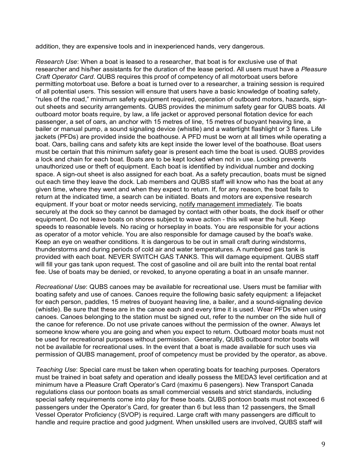addition, they are expensive tools and in inexperienced hands, very dangerous.

*Research Use*: When a boat is leased to a researcher, that boat is for exclusive use of that researcher and his/her assistants for the duration of the lease period. All users must have a *Pleasure Craft Operator Card*. QUBS requires this proof of competency of all motorboat users before permitting motorboat use. Before a boat is turned over to a researcher, a training session is required of all potential users. This session will ensure that users have a basic knowledge of boating safety, "rules of the road," minimum safety equipment required, operation of outboard motors, hazards, signout sheets and security arrangements. QUBS provides the minimum safety gear for QUBS boats. All outboard motor boats require, by law, a life jacket or approved personal flotation device for each passenger, a set of oars, an anchor with 15 metres of line, 15 metres of buoyant heaving line, a bailer or manual pump, a sound signaling device (whistle) and a watertight flashlight or 3 flares. Life jackets (PFDs) are provided inside the boathouse. A PFD must be worn at all times while operating a boat. Oars, bailing cans and safety kits are kept inside the lower level of the boathouse. Boat users must be certain that this minimum safety gear is present each time the boat is used. QUBS provides a lock and chain for each boat. Boats are to be kept locked when not in use. Locking prevents unauthorized use or theft of equipment. Each boat is identified by individual number and docking space. A sign-out sheet is also assigned for each boat. As a safety precaution, boats must be signed out each time they leave the dock. Lab members and QUBS staff will know who has the boat at any given time, where they went and when they expect to return. If, for any reason, the boat fails to return at the indicated time, a search can be initiated. Boats and motors are expensive research equipment. If your boat or motor needs servicing, notify management immediately. Tie boats securely at the dock so they cannot be damaged by contact with other boats, the dock itself or other equipment. Do not leave boats on shores subject to wave action - this will wear the hull. Keep speeds to reasonable levels. No racing or horseplay in boats. You are responsible for your actions as operator of a motor vehicle. You are also responsible for damage caused by the boat's wake. Keep an eye on weather conditions. It is dangerous to be out in small craft during windstorms, thunderstorms and during periods of cold air and water temperatures. A numbered gas tank is provided with each boat. NEVER SWITCH GAS TANKS. This will damage equipment. QUBS staff will fill your gas tank upon request. The cost of gasoline and oil are built into the rental boat rental fee. Use of boats may be denied, or revoked, to anyone operating a boat in an unsafe manner.

*Recreational Use*: QUBS canoes may be available for recreational use. Users must be familiar with boating safety and use of canoes. Canoes require the following basic safety equipment: a lifejacket for each person, paddles, 15 metres of buoyant heaving line, a bailer, and a sound-signaling device (whistle). Be sure that these are in the canoe each and every time it is used. Wear PFDs when using canoes. Canoes belonging to the station must be signed out, refer to the number on the side hull of the canoe for reference. Do not use private canoes without the permission of the owner. Always let someone know where you are going and when you expect to return. Outboard motor boats must not be used for recreational purposes without permission. Generally, QUBS outboard motor boats will not be available for recreational uses. In the event that a boat is made available for such uses via permission of QUBS management, proof of competency must be provided by the operator, as above.

*Teaching Use*: Special care must be taken when operating boats for teaching purposes. Operators must be trained in boat safety and operation and ideally possess the MEDA3 level certification and at minimum have a Pleasure Craft Operator's Card (maximu 6 pasengers). New Transport Canada regulations class our pontoon boats as small commercial vessels and strict standards, including special safety requirements come into play for these boats. QUBS pontoon boats must not exceed 6 passengers under the Operator's Card, for greater than 6 but less than 12 passengers, the Small Vessel Operator Proficiency (SVOP) is required. Large craft with many passengers are difficult to handle and require practice and good judgment. When unskilled users are involved, QUBS staff will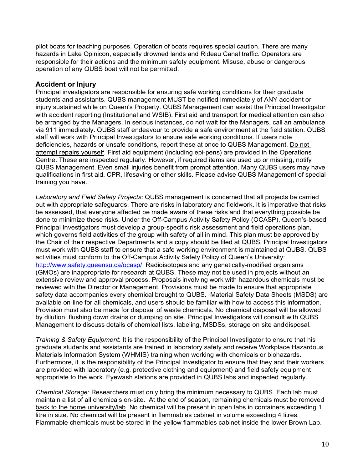pilot boats for teaching purposes. Operation of boats requires special caution. There are many hazards in Lake Opinicon, especially drowned lands and Rideau Canal traffic. Operators are responsible for their actions and the minimum safety equipment. Misuse, abuse or dangerous operation of any QUBS boat will not be permitted.

#### **Accident or Injury**

Principal investigators are responsible for ensuring safe working conditions for their graduate students and assistants. QUBS management MUST be notified immediately of ANY accident or injury sustained while on Queen's Property. QUBS Management can assist the Principal Investigator with accident reporting (Institutional and WSIB). First aid and transport for medical attention can also be arranged by the Managers. In serious instances, do not wait for the Managers, call an ambulance via 911 immediately. QUBS staff endeavour to provide a safe environment at the field station. QUBS staff will work with Principal Investigators to ensure safe working conditions. If users note deficiencies, hazards or unsafe conditions, report these at once to QUBS Management. Do not attempt repairs yourself. First aid equipment (including epi-pens) are provided in the Operations Centre. These are inspected regularly. However, if required items are used up or missing, notify QUBS Management. Even small injuries benefit from prompt attention. Many QUBS users may have qualifications in first aid, CPR, lifesaving or other skills. Please advise QUBS Management of special training you have.

*Laboratory and Field Safety Projects*: QUBS management is concerned that all projects be carried out with appropriate safeguards. There are risks in laboratory and fieldwork. It is imperative that risks be assessed, that everyone affected be made aware of these risks and that everything possible be done to minimize these risks. Under the Off-Campus Activity Safety Policy (OCASP), Queen's-based Principal Investigators must develop a group-specific risk assessment and field operations plan, which governs field activities of the group with safety of all in mind. This plan must be approved by the Chair of their respective Departments and a copy should be filed at QUBS. Principal Investigators must work with QUBS staff to ensure that a safe working environment is maintained at QUBS. QUBS activities must conform to the Off-Campus Activity Safety Policy of Queen's University: http://www.safety.queensu.ca/ocasp/. Radioisotopes and any genetically-modified organisms (GMOs) are inappropriate for research at QUBS. These may not be used in projects without an extensive review and approval process. Proposals involving work with hazardous chemicals must be reviewed with the Director or Management. Provisions must be made to ensure that appropriate safety data accompanies every chemical brought to QUBS. Material Safety Data Sheets (MSDS) are available on-line for all chemicals, and users should be familiar with how to access this information. Provision must also be made for disposal of waste chemicals. No chemical disposal will be allowed by dilution, flushing down drains or dumping on site. Principal Investigators will consult with QUBS Management to discuss details of chemical lists, labeling, MSDSs, storage on site anddisposal.

*Training & Safety Equipment*: It is the responsibility of the Principal Investigator to ensure that his graduate students and assistants are trained in laboratory safety and receive Workplace Hazardous Materials Information System (WHMIS) training when working with chemicals or biohazards. Furthermore, it is the responsibility of the Principal Investigator to ensure that they and their workers are provided with laboratory (e.g. protective clothing and equipment) and field safety equipment appropriate to the work. Eyewash stations are provided in QUBS labs and inspected regularly.

*Chemical Storage*: Researchers must only bring the minimum necessary to QUBS. Each lab must maintain a list of all chemicals on-site. At the end of season, remaining chemicals must be removed back to the home university/lab. No chemical will be present in open labs in containers exceeding 1 litre in size. No chemical will be present in flammables cabinet in volume exceeding 4 litres. Flammable chemicals must be stored in the yellow flammables cabinet inside the lower Brown Lab.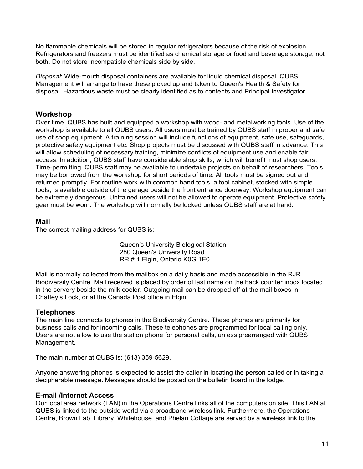No flammable chemicals will be stored in regular refrigerators because of the risk of explosion. Refrigerators and freezers must be identified as chemical storage or food and beverage storage, not both. Do not store incompatible chemicals side by side.

*Disposal*: Wide-mouth disposal containers are available for liquid chemical disposal. QUBS Management will arrange to have these picked up and taken to Queen's Health & Safety for disposal. Hazardous waste must be clearly identified as to contents and Principal Investigator.

# **Workshop**

Over time, QUBS has built and equipped a workshop with wood- and metalworking tools. Use of the workshop is available to all QUBS users. All users must be trained by QUBS staff in proper and safe use of shop equipment. A training session will include functions of equipment, safe use, safeguards, protective safety equipment etc. Shop projects must be discussed with QUBS staff in advance. This will allow scheduling of necessary training, minimize conflicts of equipment use and enable fair access. In addition, QUBS staff have considerable shop skills, which will benefit most shop users. Time-permitting, QUBS staff may be available to undertake projects on behalf of researchers. Tools may be borrowed from the workshop for short periods of time. All tools must be signed out and returned promptly. For routine work with common hand tools, a tool cabinet, stocked with simple tools, is available outside of the garage beside the front entrance doorway. Workshop equipment can be extremely dangerous. Untrained users will not be allowed to operate equipment. Protective safety gear must be worn. The workshop will normally be locked unless QUBS staff are at hand.

# **Mail**

The correct mailing address for QUBS is:

Queen's University Biological Station 280 Queen's University Road RR # 1 Elgin, Ontario K0G 1E0.

Mail is normally collected from the mailbox on a daily basis and made accessible in the RJR Biodiversity Centre. Mail received is placed by order of last name on the back counter inbox located in the servery beside the milk cooler. Outgoing mail can be dropped off at the mail boxes in Chaffey's Lock, or at the Canada Post office in Elgin.

# **Telephones**

The main line connects to phones in the Biodiversity Centre. These phones are primarily for business calls and for incoming calls. These telephones are programmed for local calling only. Users are not allow to use the station phone for personal calls, unless prearranged with QUBS Management.

The main number at QUBS is: (613) 359-5629.

Anyone answering phones is expected to assist the caller in locating the person called or in taking a decipherable message. Messages should be posted on the bulletin board in the lodge.

# **E-mail /Internet Access**

Our local area network (LAN) in the Operations Centre links all of the computers on site. This LAN at QUBS is linked to the outside world via a broadband wireless link. Furthermore, the Operations Centre, Brown Lab, Library, Whitehouse, and Phelan Cottage are served by a wireless link to the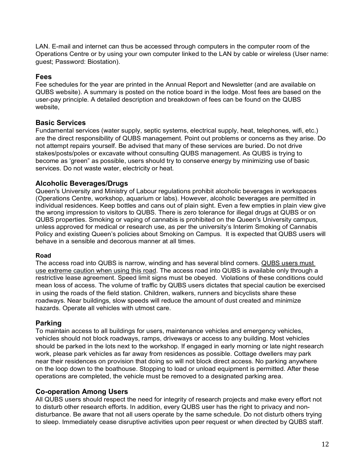LAN. E-mail and internet can thus be accessed through computers in the computer room of the Operations Centre or by using your own computer linked to the LAN by cable or wireless (User name: guest; Password: Biostation).

#### **Fees**

Fee schedules for the year are printed in the Annual Report and Newsletter (and are available on QUBS website). A summary is posted on the notice board in the lodge. Most fees are based on the user-pay principle. A detailed description and breakdown of fees can be found on the QUBS website,

# **Basic Services**

Fundamental services (water supply, septic systems, electrical supply, heat, telephones, wifi, etc.) are the direct responsibility of QUBS management. Point out problems or concerns as they arise. Do not attempt repairs yourself. Be advised that many of these services are buried. Do not drive stakes/posts/poles or excavate without consulting QUBS management. As QUBS is trying to become as 'green" as possible, users should try to conserve energy by minimizing use of basic services. Do not waste water, electricity or heat.

# **Alcoholic Beverages/Drugs**

Queen's University and Ministry of Labour regulations prohibit alcoholic beverages in workspaces (Operations Centre, workshop, aquarium or labs). However, alcoholic beverages are permitted in individual residences. Keep bottles and cans out of plain sight. Even a few empties in plain view give the wrong impression to visitors to QUBS. There is zero tolerance for illegal drugs at QUBS or on QUBS properties. Smoking or vaping of cannabis is prohibited on the Queen's University campus, unless approved for medical or research use, as per the university's Interim Smoking of Cannabis Policy and existing Queen's policies about Smoking on Campus. It is expected that QUBS users will behave in a sensible and decorous manner at all times.

#### **Road**

The access road into QUBS is narrow, winding and has several blind corners. QUBS users must use extreme caution when using this road. The access road into QUBS is available only through a restrictive lease agreement. Speed limit signs must be obeyed. Violations of these conditions could mean loss of access. The volume of traffic by QUBS users dictates that special caution be exercised in using the roads of the field station. Children, walkers, runners and bicyclists share these roadways. Near buildings, slow speeds will reduce the amount of dust created and minimize hazards. Operate all vehicles with utmost care.

#### **Parking**

To maintain access to all buildings for users, maintenance vehicles and emergency vehicles, vehicles should not block roadways, ramps, driveways or access to any building. Most vehicles should be parked in the lots next to the workshop. If engaged in early morning or late night research work, please park vehicles as far away from residences as possible. Cottage dwellers may park near their residences on provision that doing so will not block direct access. No parking anywhere on the loop down to the boathouse. Stopping to load or unload equipment is permitted. After these operations are completed, the vehicle must be removed to a designated parking area.

#### **Co-operation Among Users**

All QUBS users should respect the need for integrity of research projects and make every effort not to disturb other research efforts. In addition, every QUBS user has the right to privacy and nondisturbance. Be aware that not all users operate by the same schedule. Do not disturb others trying to sleep. Immediately cease disruptive activities upon peer request or when directed by QUBS staff.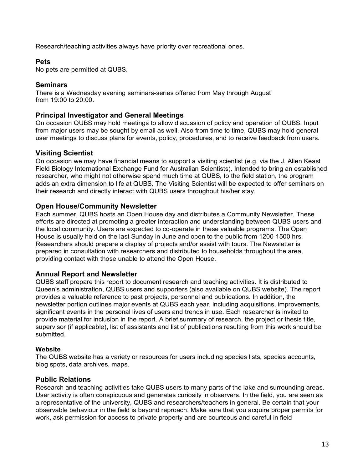Research/teaching activities always have priority over recreational ones.

#### **Pets**

No pets are permitted at QUBS.

#### **Seminars**

There is a Wednesday evening seminars-series offered from May through August from 19:00 to 20:00.

#### **Principal Investigator and General Meetings**

On occasion QUBS may hold meetings to allow discussion of policy and operation of QUBS. Input from major users may be sought by email as well. Also from time to time, QUBS may hold general user meetings to discuss plans for events, policy, procedures, and to receive feedback from users.

# **Visiting Scientist**

On occasion we may have financial means to support a visiting scientist (e.g. via the J. Allen Keast Field Biology International Exchange Fund for Australian Scientists). Intended to bring an established researcher, who might not otherwise spend much time at QUBS, to the field station, the program adds an extra dimension to life at QUBS. The Visiting Scientist will be expected to offer seminars on their research and directly interact with QUBS users throughout his/her stay.

#### **Open House/Community Newsletter**

Each summer, QUBS hosts an Open House day and distributes a Community Newsletter. These efforts are directed at promoting a greater interaction and understanding between QUBS users and the local community. Users are expected to co-operate in these valuable programs. The Open House is usually held on the last Sunday in June and open to the public from 1200-1500 hrs. Researchers should prepare a display of projects and/or assist with tours. The Newsletter is prepared in consultation with researchers and distributed to households throughout the area, providing contact with those unable to attend the Open House.

# **Annual Report and Newsletter**

QUBS staff prepare this report to document research and teaching activities. It is distributed to Queen's administration, QUBS users and supporters (also available on QUBS website). The report provides a valuable reference to past projects, personnel and publications. In addition, the newsletter portion outlines major events at QUBS each year, including acquisitions, improvements, significant events in the personal lives of users and trends in use. Each researcher is invited to provide material for inclusion in the report. A brief summary of research, the project or thesis title, supervisor (if applicable), list of assistants and list of publications resulting from this work should be submitted.

#### **Website**

The QUBS website has a variety or resources for users including species lists, species accounts, blog spots, data archives, maps.

# **Public Relations**

Research and teaching activities take QUBS users to many parts of the lake and surrounding areas. User activity is often conspicuous and generates curiosity in observers. In the field, you are seen as a representative of the university, QUBS and researchers/teachers in general. Be certain that your observable behaviour in the field is beyond reproach. Make sure that you acquire proper permits for work, ask permission for access to private property and are courteous and careful in field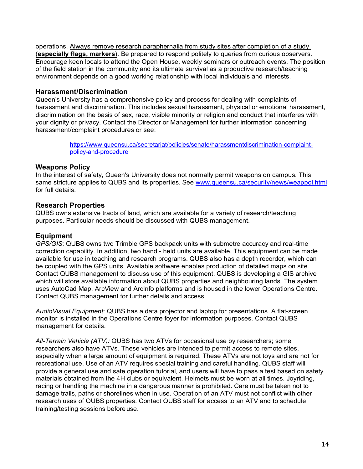operations. Always remove research paraphernalia from study sites after completion of a study (**especially flags, markers**). Be prepared to respond politely to queries from curious observers. Encourage keen locals to attend the Open House, weekly seminars or outreach events. The position of the field station in the community and its ultimate survival as a productive research/teaching environment depends on a good working relationship with local individuals and interests.

#### **Harassment/Discrimination**

Queen's University has a comprehensive policy and process for dealing with complaints of harassment and discrimination. This includes sexual harassment, physical or emotional harassment, discrimination on the basis of sex, race, visible minority or religion and conduct that interferes with your dignity or privacy. Contact the Director or Management for further information concerning harassment/complaint procedures or see:

> https://www.queensu.ca/secretariat/policies/senate/harassmentdiscrimination-complaintpolicy-and-procedure

#### **Weapons Policy**

In the interest of safety, Queen's University does not normally permit weapons on campus. This same stricture applies to QUBS and its properties. See www.queensu.ca/security/news/weappol.html for full details.

#### **Research Properties**

QUBS owns extensive tracts of land, which are available for a variety of research/teaching purposes. Particular needs should be discussed with QUBS management.

#### **Equipment**

*GPS/GIS*: QUBS owns two Trimble GPS backpack units with submetre accuracy and real-time correction capability. In addition, two hand - held units are available. This equipment can be made available for use in teaching and research programs. QUBS also has a depth recorder, which can be coupled with the GPS units. Available software enables production of detailed maps on site. Contact QUBS management to discuss use of this equipment. QUBS is developing a GIS archive which will store available information about QUBS properties and neighbouring lands. The system uses AutoCad Map, ArcView and ArcInfo platforms and is housed in the lower Operations Centre. Contact QUBS management for further details and access.

*AudioVisual Equipment*: QUBS has a data projector and laptop for presentations. A flat-screen monitor is installed in the Operations Centre foyer for information purposes. Contact QUBS management for details.

*All-Terrain Vehicle (ATV):* QUBS has two ATVs for occasional use by researchers; some researchers also have ATVs. These vehicles are intended to permit access to remote sites, especially when a large amount of equipment is required. These ATVs are not toys and are not for recreational use. Use of an ATV requires special training and careful handling. QUBS staff will provide a general use and safe operation tutorial, and users will have to pass a test based on safety materials obtained from the 4H clubs or equivalent. Helmets must be worn at all times. Joyriding, racing or handling the machine in a dangerous manner is prohibited. Care must be taken not to damage trails, paths or shorelines when in use. Operation of an ATV must not conflict with other research uses of QUBS properties. Contact QUBS staff for access to an ATV and to schedule training/testing sessions beforeuse.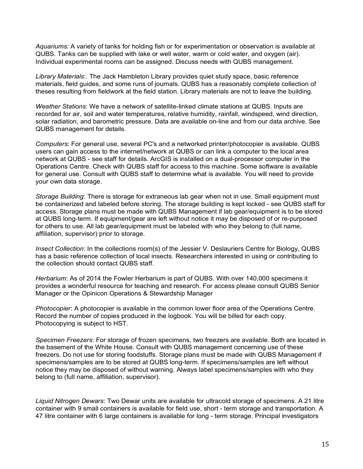*Aquariums:* A variety of tanks for holding fish or for experimentation or observation is available at QUBS. Tanks can be supplied with lake or well water, warm or cold water, and oxygen (air). Individual experimental rooms can be assigned. Discuss needs with QUBS management.

*Library Materials*:. The Jack Hambleton Library provides quiet study space, basic reference materials, field guides, and some runs of journals. QUBS has a reasonably complete collection of theses resulting from fieldwork at the field station. Library materials are not to leave the building.

*Weather Stations*: We have a network of satellite-linked climate stations at QUBS. Inputs are recorded for air, soil and water temperatures, relative humidity, rainfall, windspeed, wind direction, solar radiation, and barometric pressure. Data are available on-line and from our data archive. See QUBS management for details.

*Computers*: For general use, several PC's and a networked printer/photocopier is available. QUBS users can gain access to the internet/network at QUBS or can link a computer to the local area network at QUBS - see staff for details. ArcGIS is installed on a dual-processor computer in the Operations Centre. Check with QUBS staff for access to this machine. Some software is available for general use. Consult with QUBS staff to determine what is available. You will need to provide your own data storage.

*Storage Building*: There is storage for extraneous lab gear when not in use. Small equipment must be containerized and labeled before storing. The storage building is kept locked - see QUBS staff for access. Storage plans must be made with QUBS Management if lab gear/equipment is to be stored at QUBS long-term. If equipment/gear are left without notice it may be disposed of or re-purposed for others to use. All lab gear/equipment must be labeled with who they belong to (full name, affiliation, supervisor) prior to storage.

*Insect Collection*: In the collections room(s) of the Jessier V. Deslauriers Centre for Biology, QUBS has a basic reference collection of local insects. Researchers interested in using or contributing to the collection should contact QUBS staff.

*Herbarium*: As of 2014 the Fowler Herbarium is part of QUBS. With over 140,000 specimens it provides a wonderful resource for teaching and research. For access please consult QUBS Senior Manager or the Opinicon Operations & Stewardship Manager

*Photocopier*: A photocopier is available in the common lower floor area of the Operations Centre. Record the number of copies produced in the logbook. You will be billed for each copy. Photocopying is subject to HST.

*Specimen Freezers*: For storage of frozen specimens, two freezers are available. Both are located in the basement of the White House. Consult with QUBS management concerning use of these freezers. Do not use for storing foodstuffs. Storage plans must be made with QUBS Management if specimens/samples are to be stored at QUBS long-term. If specimens/samples are left without notice they may be disposed of without warning. Always label specimens/samples with who they belong to (full name, affiliation, supervisor).

*Liquid Nitrogen Dewars*: Two Dewar units are available for ultracold storage of specimens. A 21 litre container with 9 small containers is available for field use, short - term storage and transportation. A 47 litre container with 6 large containers is available for long - term storage. Principal investigators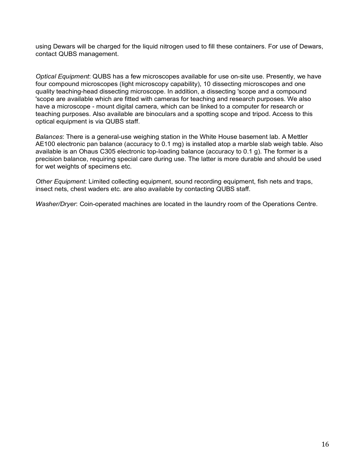using Dewars will be charged for the liquid nitrogen used to fill these containers. For use of Dewars, contact QUBS management.

*Optical Equipment*: QUBS has a few microscopes available for use on-site use. Presently, we have four compound microscopes (light microscopy capability), 10 dissecting microscopes and one quality teaching-head dissecting microscope. In addition, a dissecting 'scope and a compound 'scope are available which are fitted with cameras for teaching and research purposes. We also have a microscope - mount digital camera, which can be linked to a computer for research or teaching purposes. Also available are binoculars and a spotting scope and tripod. Access to this optical equipment is via QUBS staff.

*Balances*: There is a general-use weighing station in the White House basement lab. A Mettler AE100 electronic pan balance (accuracy to 0.1 mg) is installed atop a marble slab weigh table. Also available is an Ohaus C305 electronic top-loading balance (accuracy to 0.1 g). The former is a precision balance, requiring special care during use. The latter is more durable and should be used for wet weights of specimens etc.

*Other Equipment*: Limited collecting equipment, sound recording equipment, fish nets and traps, insect nets, chest waders etc. are also available by contacting QUBS staff.

*Washer/Dryer*: Coin-operated machines are located in the laundry room of the Operations Centre.